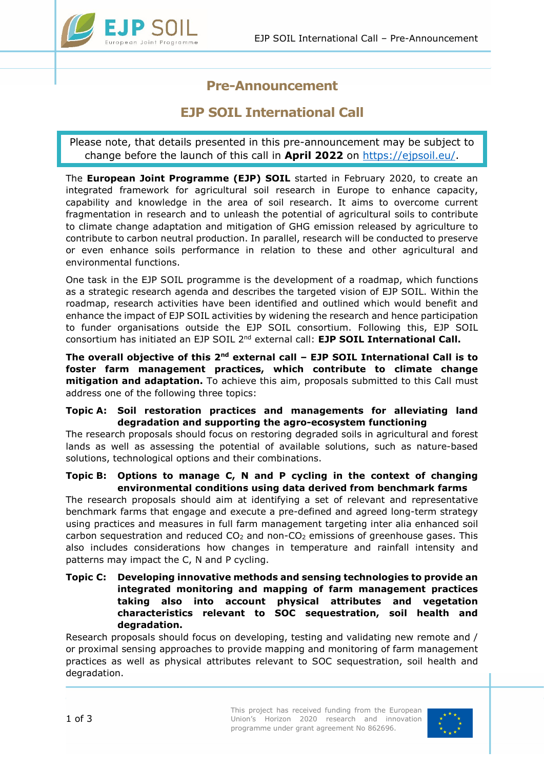

# **Pre-Announcement**

# **EJP SOIL International Call**

Please note, that details presented in this pre-announcement may be subject to change before the launch of this call in **April 2022** on [https://ejpsoil.eu/.](https://ejpsoil.eu/)

The **European Joint Programme (EJP) SOIL** started in February 2020, to create an integrated framework for agricultural soil research in Europe to enhance capacity, capability and knowledge in the area of soil research. It aims to overcome current fragmentation in research and to unleash the potential of agricultural soils to contribute to climate change adaptation and mitigation of GHG emission released by agriculture to contribute to carbon neutral production. In parallel, research will be conducted to preserve or even enhance soils performance in relation to these and other agricultural and environmental functions.

One task in the EJP SOIL programme is the development of a roadmap, which functions as a strategic research agenda and describes the targeted vision of EJP SOIL. Within the roadmap, research activities have been identified and outlined which would benefit and enhance the impact of EJP SOIL activities by widening the research and hence participation to funder organisations outside the EJP SOIL consortium. Following this, EJP SOIL consortium has initiated an EJP SOIL 2nd external call: **EJP SOIL International Call.**

**The overall objective of this 2nd external call – EJP SOIL International Call is to foster farm management practices, which contribute to climate change mitigation and adaptation.** To achieve this aim, proposals submitted to this Call must address one of the following three topics:

### **Topic A: Soil restoration practices and managements for alleviating land degradation and supporting the agro-ecosystem functioning**

The research proposals should focus on restoring degraded soils in agricultural and forest lands as well as assessing the potential of available solutions, such as nature-based solutions, technological options and their combinations.

#### **Topic B: Options to manage C, N and P cycling in the context of changing environmental conditions using data derived from benchmark farms**

The research proposals should aim at identifying a set of relevant and representative benchmark farms that engage and execute a pre-defined and agreed long-term strategy using practices and measures in full farm management targeting inter alia enhanced soil carbon sequestration and reduced  $CO<sub>2</sub>$  and non- $CO<sub>2</sub>$  emissions of greenhouse gases. This also includes considerations how changes in temperature and rainfall intensity and patterns may impact the C, N and P cycling.

#### **Topic C: Developing innovative methods and sensing technologies to provide an integrated monitoring and mapping of farm management practices taking also into account physical attributes and vegetation characteristics relevant to SOC sequestration, soil health and degradation.**

Research proposals should focus on developing, testing and validating new remote and / or proximal sensing approaches to provide mapping and monitoring of farm management practices as well as physical attributes relevant to SOC sequestration, soil health and degradation.

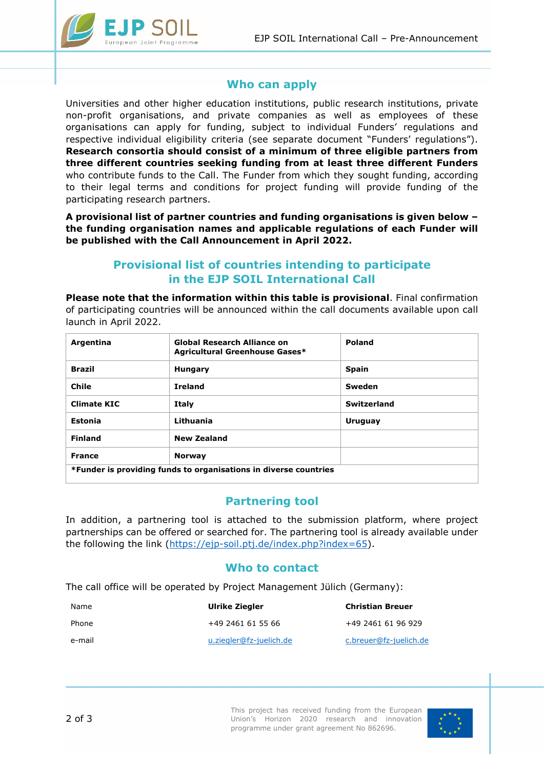

### **Who can apply**

Universities and other higher education institutions, public research institutions, private non-profit organisations, and private companies as well as employees of these organisations can apply for funding, subject to individual Funders' regulations and respective individual eligibility criteria (see separate document "Funders' regulations"). **Research consortia should consist of a minimum of three eligible partners from three different countries seeking funding from at least three different Funders**  who contribute funds to the Call. The Funder from which they sought funding, according to their legal terms and conditions for project funding will provide funding of the participating research partners.

**A provisional list of partner countries and funding organisations is given below – the funding organisation names and applicable regulations of each Funder will be published with the Call Announcement in April 2022.**

### **Provisional list of countries intending to participate in the EJP SOIL International Call**

**Please note that the information within this table is provisional**. Final confirmation of participating countries will be announced within the call documents available upon call launch in April 2022.

| Argentina                                                        | <b>Global Research Alliance on</b><br>Agricultural Greenhouse Gases* | <b>Poland</b> |  |
|------------------------------------------------------------------|----------------------------------------------------------------------|---------------|--|
| <b>Brazil</b>                                                    | <b>Hungary</b>                                                       | <b>Spain</b>  |  |
| <b>Chile</b>                                                     | <b>Ireland</b>                                                       | Sweden        |  |
| <b>Climate KIC</b>                                               | Italy                                                                | Switzerland   |  |
| Estonia                                                          | Lithuania                                                            | Uruguay       |  |
| <b>Finland</b>                                                   | <b>New Zealand</b>                                                   |               |  |
| <b>France</b>                                                    | <b>Norway</b>                                                        |               |  |
| *Funder is providing funds to organisations in diverse countries |                                                                      |               |  |

### **Partnering tool**

In addition, a partnering tool is attached to the submission platform, where project partnerships can be offered or searched for. The partnering tool is already available under the following the link [\(https://ejp-soil.ptj.de/index.php?index=65\)](https://ejp-soil.ptj.de/index.php?index=65).

### **Who to contact**

The call office will be operated by Project Management Jülich (Germany):

| Name   | Ulrike Ziegler          | <b>Christian Breuer</b> |
|--------|-------------------------|-------------------------|
| Phone  | +49 2461 61 55 66       | +49 2461 61 96 929      |
| e-mail | u.ziegler@fz-juelich.de | c.breuer@fz-juelich.de  |